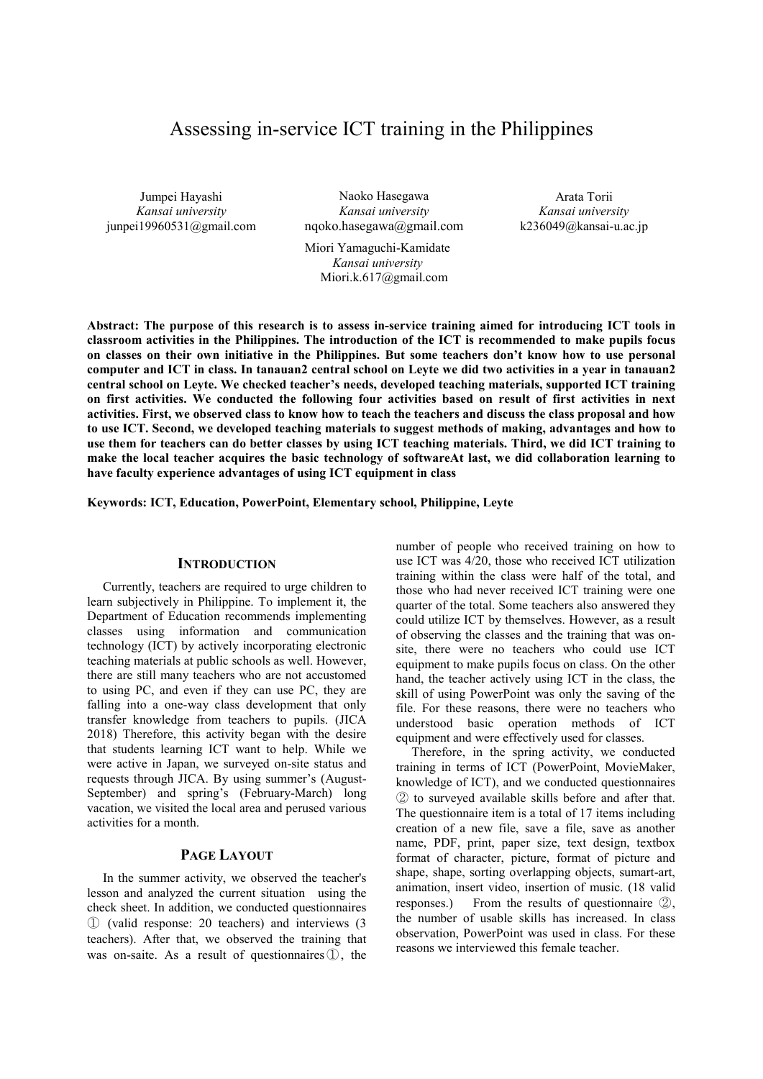## Assessing in-service ICT training in the Philippines

Jumpei Hayashi *Kansai university*  junpei19960531@gmail.com

Naoko Hasegawa *Kansai university*  nqoko.hasegawa@gmail.com

Miori Yamaguchi-Kamidate *Kansai university*  Miori.k.617@gmail.com

Arata Torii *Kansai university*  k236049@kansai-u.ac.jp

**Abstract: The purpose of this research is to assess in-service training aimed for introducing ICT tools in classroom activities in the Philippines. The introduction of the ICT is recommended to make pupils focus on classes on their own initiative in the Philippines. But some teachers don't know how to use personal computer and ICT in class. In tanauan2 central school on Leyte we did two activities in a year in tanauan2 central school on Leyte. We checked teacher's needs, developed teaching materials, supported ICT training on first activities. We conducted the following four activities based on result of first activities in next activities. First, we observed class to know how to teach the teachers and discuss the class proposal and how to use ICT. Second, we developed teaching materials to suggest methods of making, advantages and how to use them for teachers can do better classes by using ICT teaching materials. Third, we did ICT training to make the local teacher acquires the basic technology of softwareAt last, we did collaboration learning to have faculty experience advantages of using ICT equipment in class** 

**Keywords: ICT, Education, PowerPoint, Elementary school, Philippine, Leyte**

## **INTRODUCTION**

Currently, teachers are required to urge children to learn subjectively in Philippine. To implement it, the Department of Education recommends implementing classes using information and communication technology (ICT) by actively incorporating electronic teaching materials at public schools as well. However, there are still many teachers who are not accustomed to using PC, and even if they can use PC, they are falling into a one-way class development that only transfer knowledge from teachers to pupils. (JICA 2018) Therefore, this activity began with the desire that students learning ICT want to help. While we were active in Japan, we surveyed on-site status and requests through JICA. By using summer's (August-September) and spring's (February-March) long vacation, we visited the local area and perused various activities for a month.

## **PAGE LAYOUT**

In the summer activity, we observed the teacher's lesson and analyzed the current situation using the check sheet. In addition, we conducted questionnaires ① (valid response: 20 teachers) and interviews (3 teachers). After that, we observed the training that was on-saite. As a result of questionnaires①, the

number of people who received training on how to use ICT was 4/20, those who received ICT utilization training within the class were half of the total, and those who had never received ICT training were one quarter of the total. Some teachers also answered they could utilize ICT by themselves. However, as a result of observing the classes and the training that was onsite, there were no teachers who could use ICT equipment to make pupils focus on class. On the other hand, the teacher actively using ICT in the class, the skill of using PowerPoint was only the saving of the file. For these reasons, there were no teachers who understood basic operation methods of ICT equipment and were effectively used for classes.

Therefore, in the spring activity, we conducted training in terms of ICT (PowerPoint, MovieMaker, knowledge of ICT), and we conducted questionnaires ② to surveyed available skills before and after that. The questionnaire item is a total of 17 items including creation of a new file, save a file, save as another name, PDF, print, paper size, text design, textbox format of character, picture, format of picture and shape, shape, sorting overlapping objects, sumart-art, animation, insert video, insertion of music. (18 valid responses.) From the results of questionnaire ②, the number of usable skills has increased. In class observation, PowerPoint was used in class. For these reasons we interviewed this female teacher.